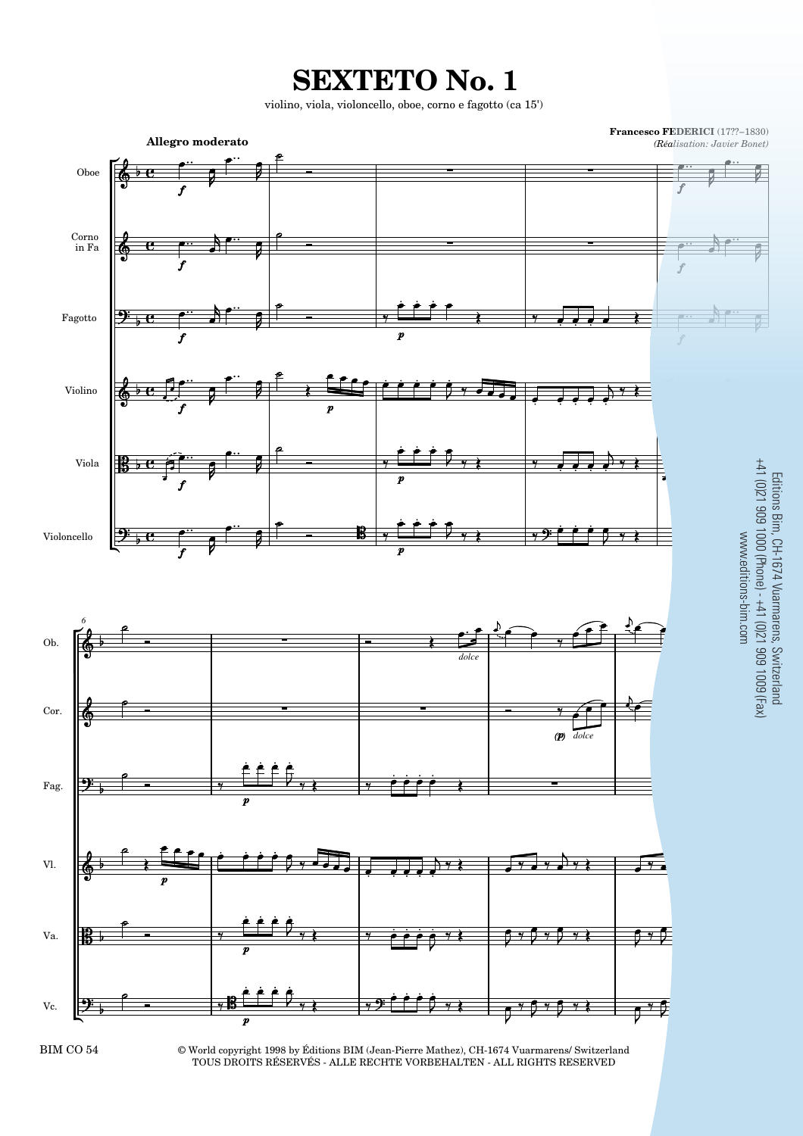**SEXTETO No. 1**

violino, viola, violoncello, oboe, corno e fagotto (ca 15')



BIM CO 54

© World copyright 1998 by Éditions BIM (Jean-Pierre Mathez), CH-1674 Vuarmarens/ Switzerland TOUS DROITS RÉSERVÉS - ALLE RECHTE VORBEHALTEN - ALL RIGHTS RESERVED

Editions Bim, CH-1674 Vuarmarens, Switzerland<br>+41 (0)21 909 1000 (Phone) - +41 (0)21 909 1009 (Fax)<br>www.editions-bim.com Editions Bim, CH-1674 Vuarmarens, Switzerland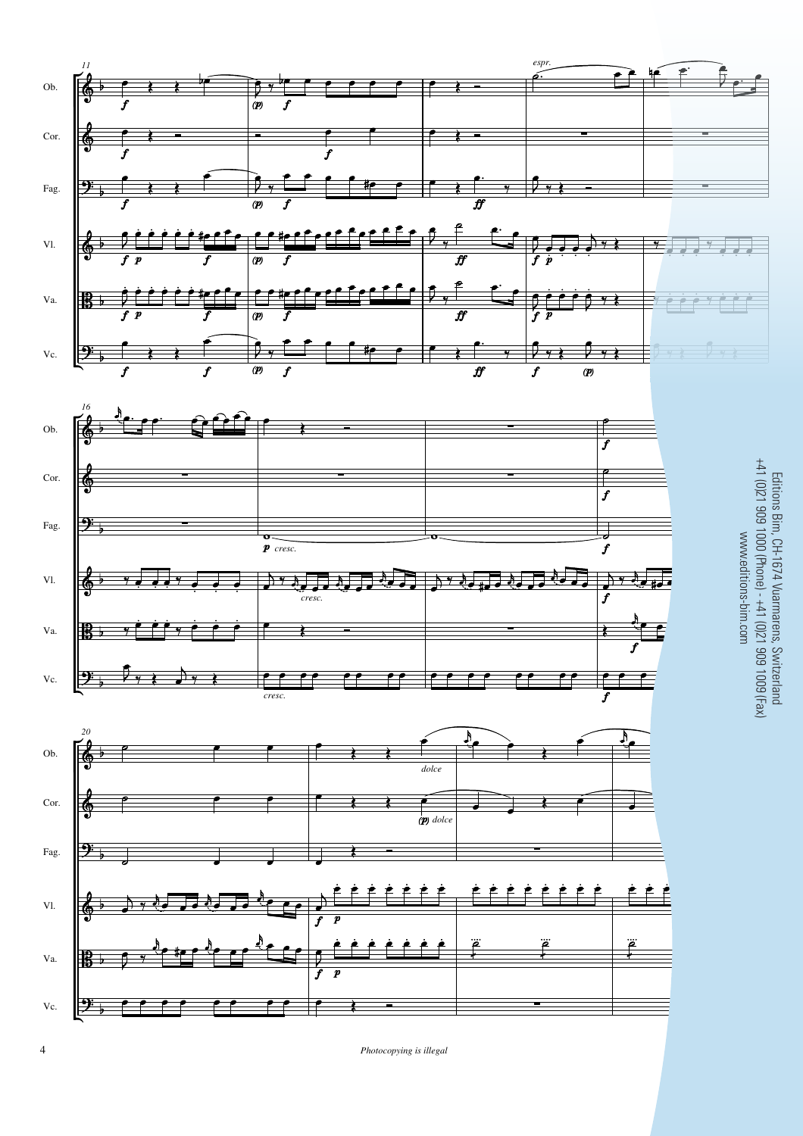

 $Photocopying$  is illegal

4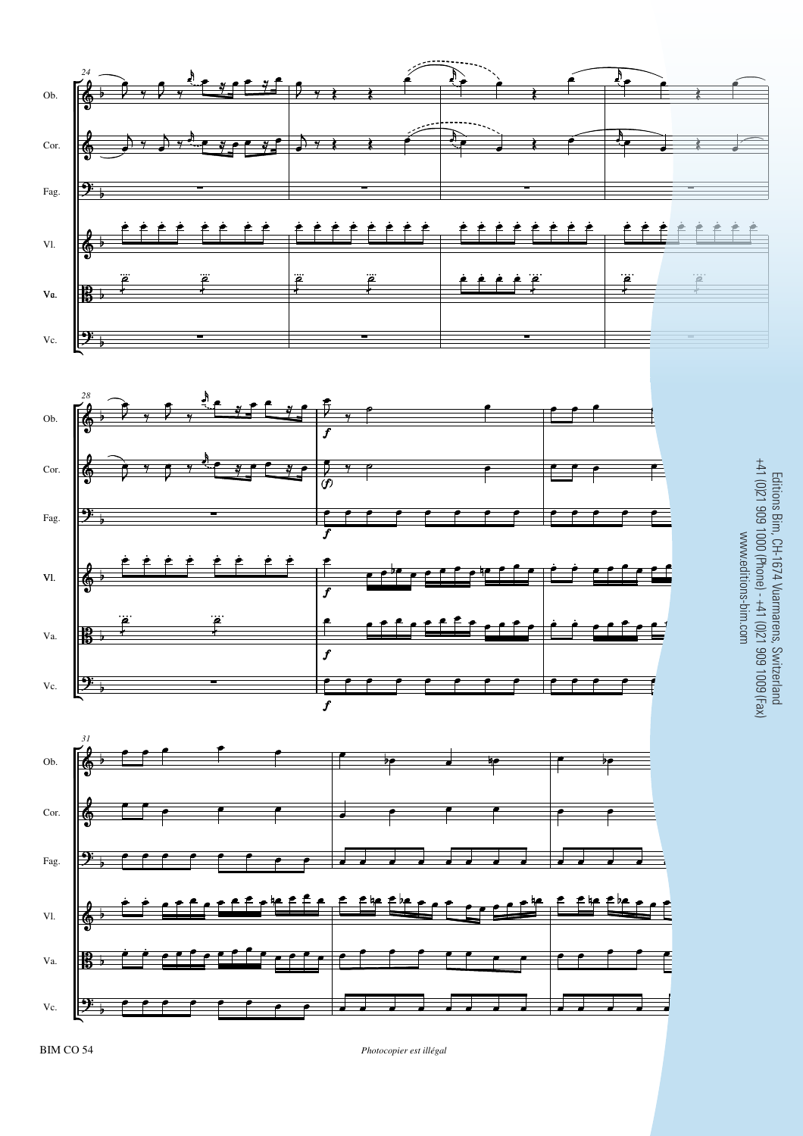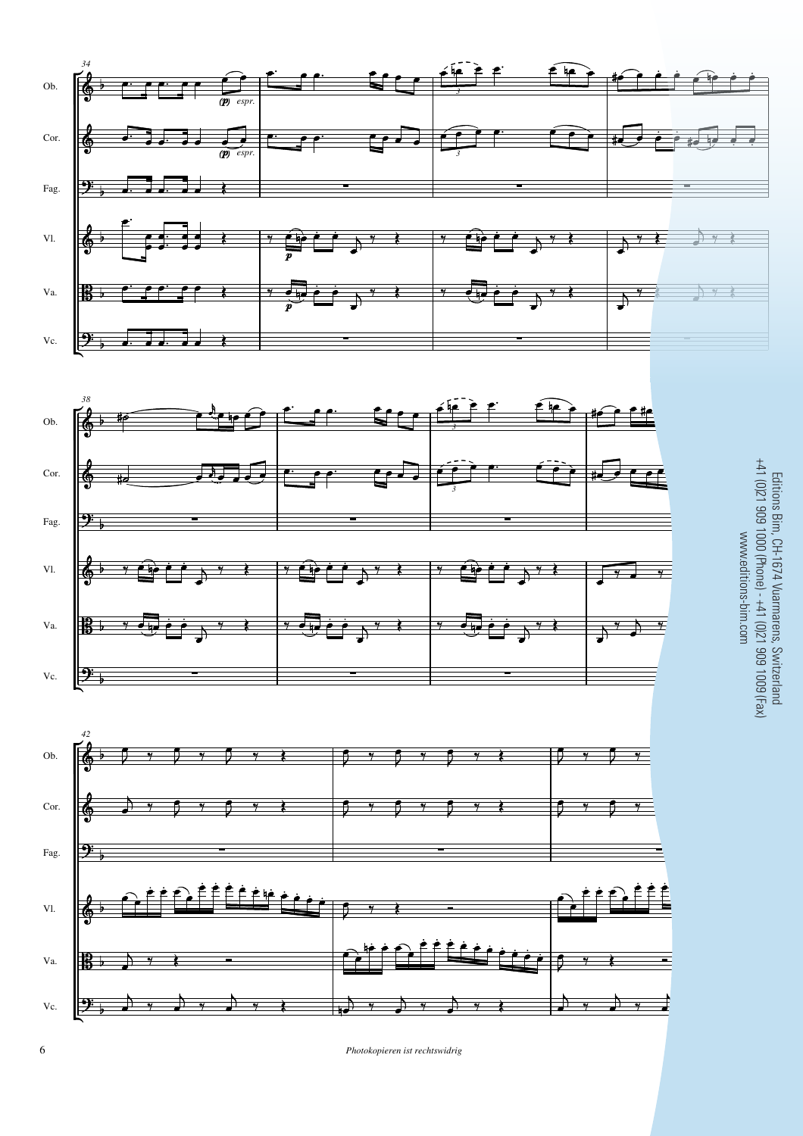

**6** *Photokopieren ist rechtswidrig*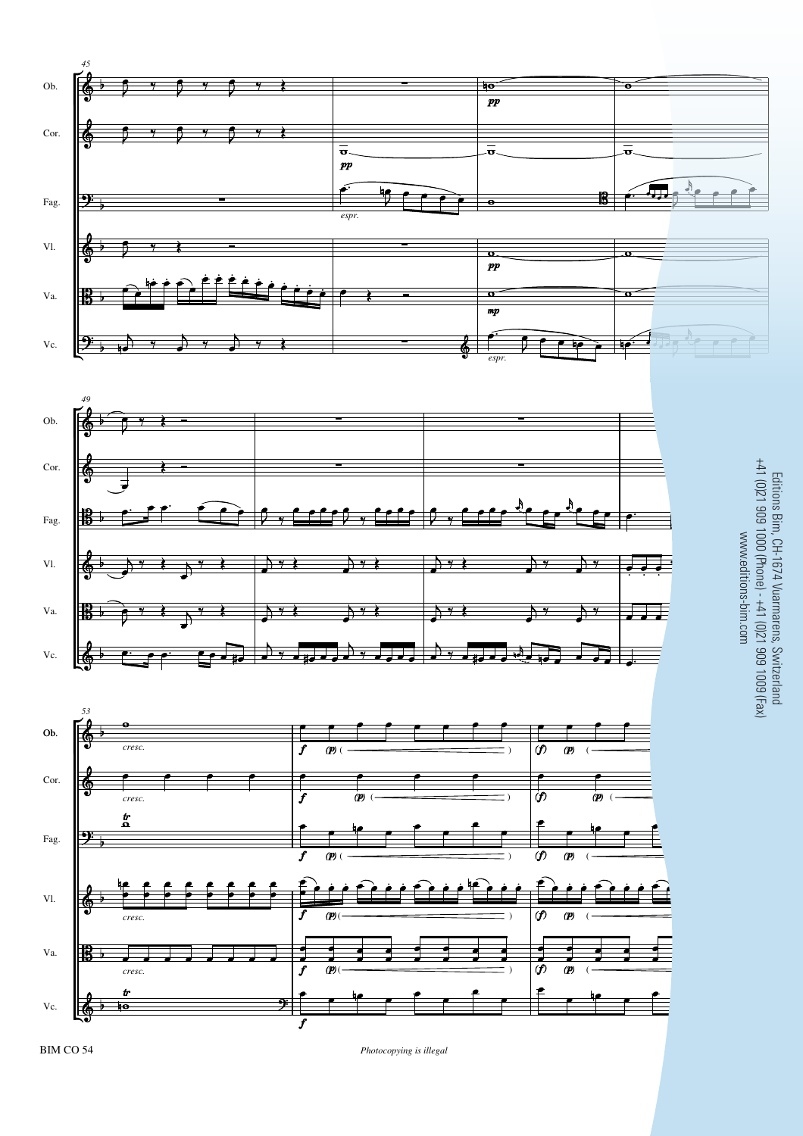





## Editions Bim, CH-1674 Vuarmarens, Switzerland<br>+41 (0)21 909 1000 (Phone) - +41 (0)21 909 1009 (Fax) +41 (0)21 909 1000 (Phone) - +41 (0)21 909 1009 (Fax) Editions Bim, CH-1674 Vuarmarens, Switzerland www.editions-bim.com www.editions-bim.com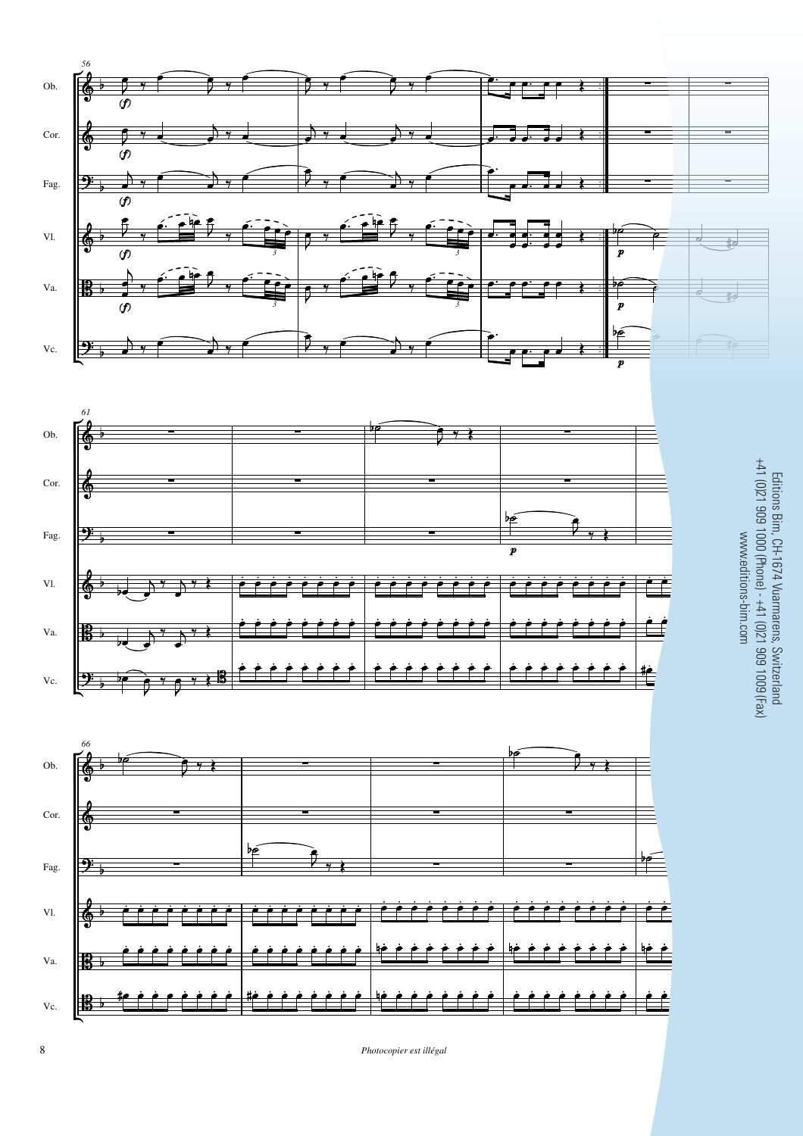





Editions Bim, CH-1674 Vuarmarens, Switzerland<br>+41 (0)21 909 1000 (Phone) - +41 (0)21 909 1009 (Fax) +41 (0)21 909 1000 (Phone) - +41 (0)21 909 1009 (Fax) Editions Bim, CH-1674 Vuarmarens, Switzerland www.editions-bim.com www.editions-bim.com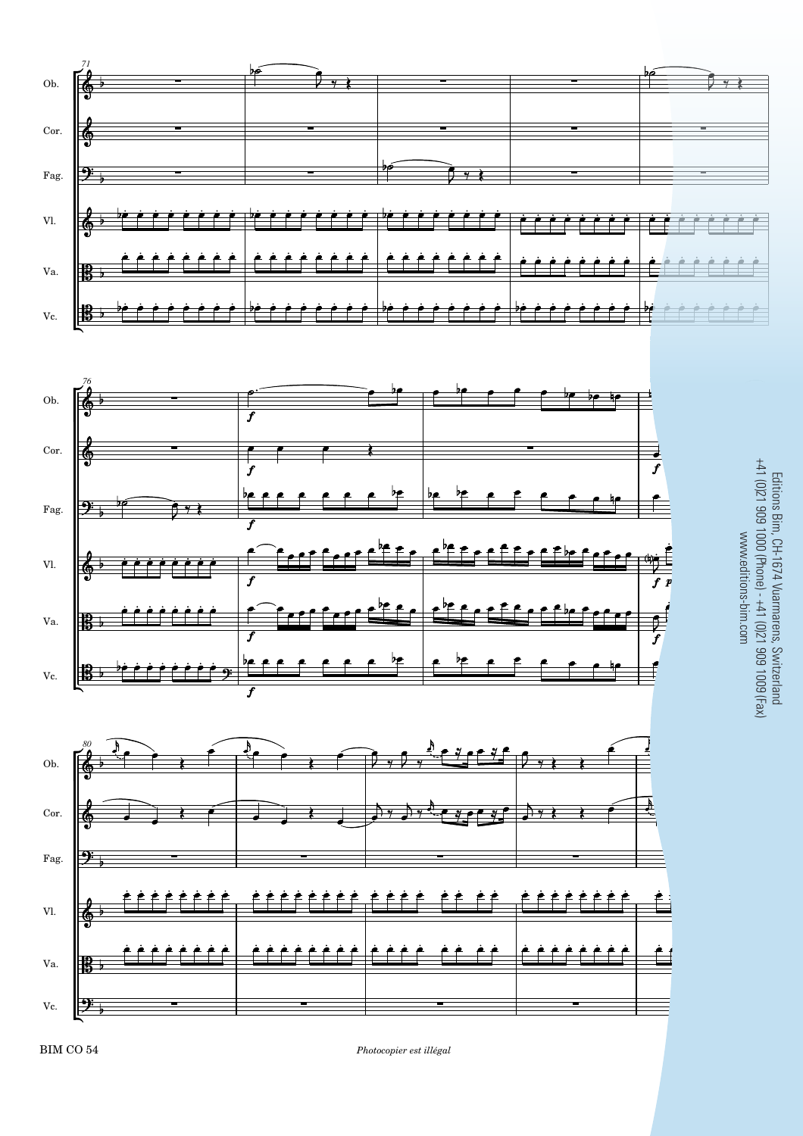

 $Photocopier$  est illégal

Editions Bim, CH-1674 Vuarmarens, Switzerland<br>+41 (0)21 909 1000 (Phone) - +41 (0)21 909 1009 (Fax) Editions Bim, CH-1674 Vuarmarens, Switzerland